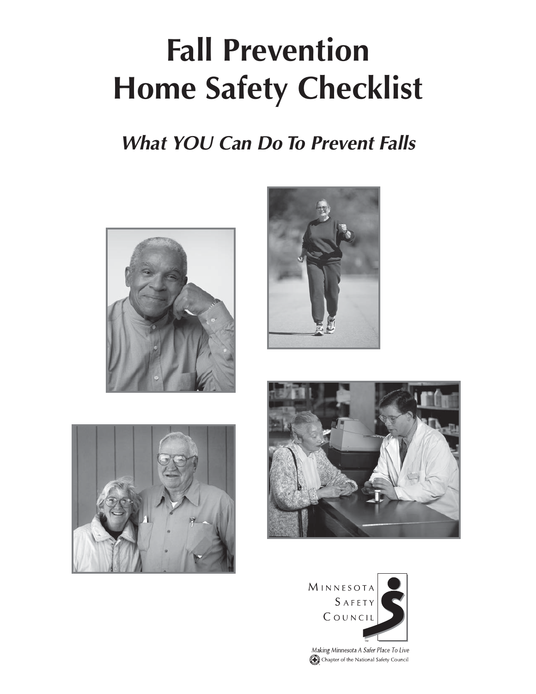# **Fall Prevention Home Safety Checklist**

## **What YOU Can Do To Prevent Falls**











Chapter of the National Safety Council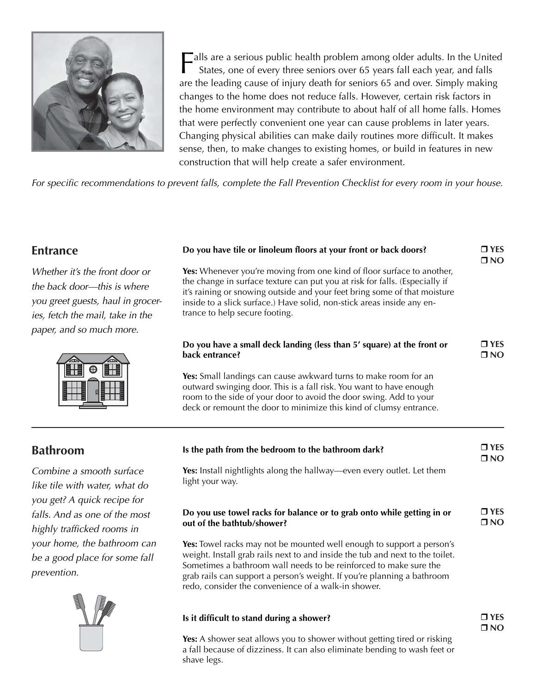

Falls are a serious public health problem among older adults. In the United States, one of every three seniors over 65 years fall each year, and falls are the leading cause of injury death for seniors 65 and over. Simply making changes to the home does not reduce falls. However, certain risk factors in the home environment may contribute to about half of all home falls. Homes that were perfectly convenient one year can cause problems in later years. Changing physical abilities can make daily routines more difficult. It makes sense, then, to make changes to existing homes, or build in features in new construction that will help create a safer environment.

For specific recommendations to prevent falls, complete the Fall Prevention Checklist for every room in your house.

## **Entrance**

Whether it's the front door or the back door—this is where you greet guests, haul in groceries, fetch the mail, take in the paper, and so much more.



## **Do you have tile or linoleum floors at your front or back doors?**

Yes: Whenever you're moving from one kind of floor surface to another, the change in surface texture can put you at risk for falls. (Especially if it's raining or snowing outside and your feet bring some of that moisture inside to a slick surface.) Have solid, non-stick areas inside any entrance to help secure footing.

## **Do you have a small deck landing (less than 5' square) at the front or back entrance?**

**Yes:** Small landings can cause awkward turns to make room for an outward swinging door. This is a fall risk. You want to have enough room to the side of your door to avoid the door swing. Add to your deck or remount the door to minimize this kind of clumsy entrance.

| <b>room</b>                                                             | Is the path from the bedroom to the bathroom dark?                                                                                                                                                                                                                                                                                                            | $\Box$ YES<br>$\square$ NO |
|-------------------------------------------------------------------------|---------------------------------------------------------------------------------------------------------------------------------------------------------------------------------------------------------------------------------------------------------------------------------------------------------------------------------------------------------------|----------------------------|
| ine a smooth surface<br>e with water, what do<br>et? A quick recipe for | Yes: Install nightlights along the hallway—even every outlet. Let them<br>light your way.                                                                                                                                                                                                                                                                     |                            |
| nd as one of the most<br>trafficked rooms in                            | Do you use towel racks for balance or to grab onto while getting in or<br>out of the bathtub/shower?                                                                                                                                                                                                                                                          | $\Box$ YES<br>$\square$ NO |
| ome, the bathroom can<br><i>ood place for some fall</i><br>ition.       | Yes: Towel racks may not be mounted well enough to support a person's<br>weight. Install grab rails next to and inside the tub and next to the toilet.<br>Sometimes a bathroom wall needs to be reinforced to make sure the<br>grab rails can support a person's weight. If you're planning a bathroom<br>redo, consider the convenience of a walk-in shower. |                            |
| <b>MARKET</b>                                                           | Is it difficult to stand during a shower?                                                                                                                                                                                                                                                                                                                     | $\square$ YES              |

**Yes:** A shower seat allows you to shower without getting tired or risking a fall because of dizziness. It can also eliminate bending to wash feet or shave legs.

**NO**

 **YES NO**

 **YES NO**

## **Bathr**

Combi like tile you ge falls.  $A$  $highly$ your h  $be a ge$ preven

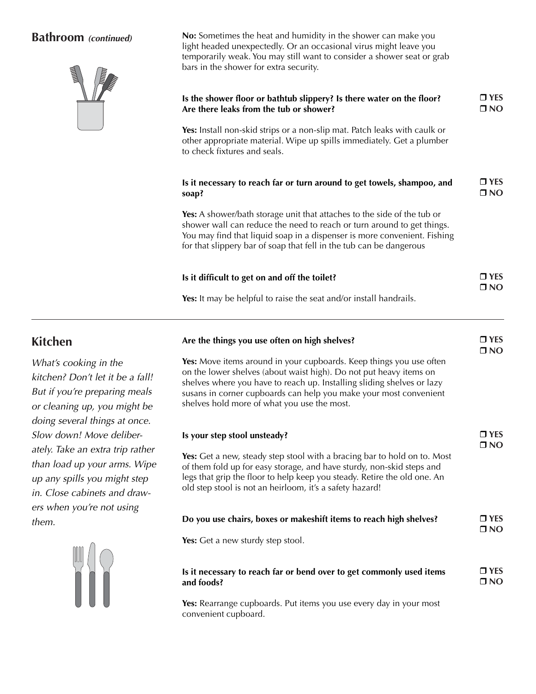## **Bathroom (continued)**



**No:** Sometimes the heat and humidity in the shower can make you light headed unexpectedly. Or an occasional virus might leave you temporarily weak. You may still want to consider a shower seat or grab bars in the shower for extra security.

| Is the shower floor or bathtub slippery? Is there water on the floor?<br>Are there leaks from the tub or shower?                                                                                                                                                                                     | $\Box$ YES<br>$\square$ NO    |
|------------------------------------------------------------------------------------------------------------------------------------------------------------------------------------------------------------------------------------------------------------------------------------------------------|-------------------------------|
| Yes: Install non-skid strips or a non-slip mat. Patch leaks with caulk or<br>other appropriate material. Wipe up spills immediately. Get a plumber<br>to check fixtures and seals.                                                                                                                   |                               |
| Is it necessary to reach far or turn around to get towels, shampoo, and<br>soap?                                                                                                                                                                                                                     | $\Box$ YES<br>$\square$ NO    |
| Yes: A shower/bath storage unit that attaches to the side of the tub or<br>shower wall can reduce the need to reach or turn around to get things.<br>You may find that liquid soap in a dispenser is more convenient. Fishing<br>for that slippery bar of soap that fell in the tub can be dangerous |                               |
| Is it difficult to get on and off the toilet?                                                                                                                                                                                                                                                        | $\Box$ YES                    |
| Yes: It may be helpful to raise the seat and/or install handrails.                                                                                                                                                                                                                                   | $\square$ NO                  |
| shelves where you have to reach up. Installing sliding shelves or lazy<br>susans in corner cupboards can help you make your most convenient                                                                                                                                                          |                               |
| shelves hold more of what you use the most.                                                                                                                                                                                                                                                          |                               |
| Is your step stool unsteady?                                                                                                                                                                                                                                                                         | $\Box$ YES<br>$\square$ NO    |
| Yes: Get a new, steady step stool with a bracing bar to hold on to. Most<br>of them fold up for easy storage, and have sturdy, non-skid steps and<br>legs that grip the floor to help keep you steady. Retire the old one. An<br>old step stool is not an heirloom, it's a safety hazard!            |                               |
| Do you use chairs, boxes or makeshift items to reach high shelves?                                                                                                                                                                                                                                   | $\square$ YES                 |
| Yes: Get a new sturdy step stool.                                                                                                                                                                                                                                                                    | $\square$ NO                  |
| Is it necessary to reach far or bend over to get commonly used items<br>and foods?                                                                                                                                                                                                                   | $\square$ YES<br>$\square$ NO |
| Yes: Rearrange cupboards. Put items you use every day in your most                                                                                                                                                                                                                                   |                               |

**Kitchen**

What's cooking in the kitchen? Don't let it be a fall! But if you're preparing meals or cleaning up, you might be doing several things at once. Slow down! Move deliberately. Take an extra trip rather than load up your arms. Wipe up any spills you might step in. Close cabinets and drawers when you're not using them.



**Yes:** Rearrange cupboards. Put items you use every day in your most convenient cupboard.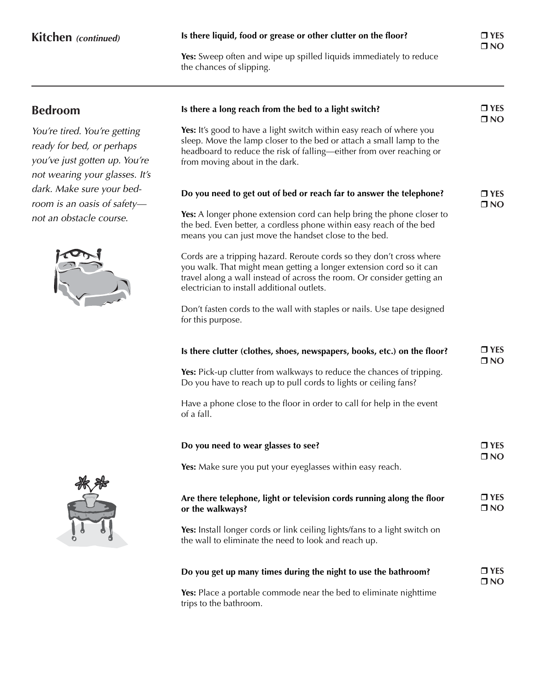**Yes:** Sweep often and wipe up spilled liquids immediately to reduce the chances of slipping.

| <b>Bedroom</b>                                                                                                               | Is there a long reach from the bed to a light switch?                                                                                                                                                                                                               | $\Box$ YES<br>$\square$ NO |
|------------------------------------------------------------------------------------------------------------------------------|---------------------------------------------------------------------------------------------------------------------------------------------------------------------------------------------------------------------------------------------------------------------|----------------------------|
| You're tired. You're getting<br>ready for bed, or perhaps<br>you've just gotten up. You're<br>not wearing your glasses. It's | Yes: It's good to have a light switch within easy reach of where you<br>sleep. Move the lamp closer to the bed or attach a small lamp to the<br>headboard to reduce the risk of falling-either from over reaching or<br>from moving about in the dark.              |                            |
| dark. Make sure your bed-<br>room is an oasis of safety-                                                                     | Do you need to get out of bed or reach far to answer the telephone?                                                                                                                                                                                                 | $\Box$ YES<br>$\square$ NO |
| not an obstacle course.                                                                                                      | <b>Yes:</b> A longer phone extension cord can help bring the phone closer to<br>the bed. Even better, a cordless phone within easy reach of the bed<br>means you can just move the handset close to the bed.                                                        |                            |
|                                                                                                                              | Cords are a tripping hazard. Reroute cords so they don't cross where<br>you walk. That might mean getting a longer extension cord so it can<br>travel along a wall instead of across the room. Or consider getting an<br>electrician to install additional outlets. |                            |
|                                                                                                                              | Don't fasten cords to the wall with staples or nails. Use tape designed<br>for this purpose.                                                                                                                                                                        |                            |
|                                                                                                                              | Is there clutter (clothes, shoes, newspapers, books, etc.) on the floor?                                                                                                                                                                                            | $\Box$ YES<br>$\square$ NO |
|                                                                                                                              | Yes: Pick-up clutter from walkways to reduce the chances of tripping.<br>Do you have to reach up to pull cords to lights or ceiling fans?                                                                                                                           |                            |
|                                                                                                                              | Have a phone close to the floor in order to call for help in the event<br>of a fall.                                                                                                                                                                                |                            |
|                                                                                                                              | Do you need to wear glasses to see?                                                                                                                                                                                                                                 | $\Box$ YES<br>$\square$ NO |
| ₩                                                                                                                            | Yes: Make sure you put your eyeglasses within easy reach.                                                                                                                                                                                                           |                            |
| $\sqrt[n]{\sqrt[n]{\mathbb{P}}}$                                                                                             | Are there telephone, light or television cords running along the floor<br>or the walkways?                                                                                                                                                                          | $\Box$ YES<br>$\square$ NO |
|                                                                                                                              | Yes: Install longer cords or link ceiling lights/fans to a light switch on<br>the wall to eliminate the need to look and reach up.                                                                                                                                  |                            |
|                                                                                                                              | Do you get up many times during the night to use the bathroom?                                                                                                                                                                                                      | $\Box$ YES<br>$\square$ NO |
|                                                                                                                              | Yes: Place a portable commode near the bed to eliminate nighttime<br>trips to the bathroom.                                                                                                                                                                         |                            |

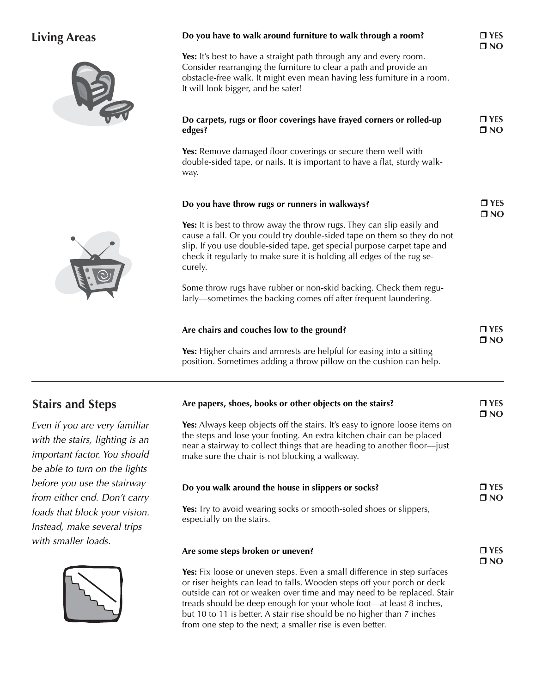|  |  | <b>Living Areas</b> |  |
|--|--|---------------------|--|
|  |  |                     |  |



## **Do you have to walk around furniture to walk through a room?**

Yes: It's best to have a straight path through any and every room. Consider rearranging the furniture to clear a path and provide an obstacle-free walk. It might even mean having less furniture in a room. It will look bigger, and be safer!

| Do carpets, rugs or floor coverings have frayed corners or rolled-up | $\Box$ YES   |
|----------------------------------------------------------------------|--------------|
| edges?                                                               | $\square$ NO |

 **YES NO**

**Yes:** Remove damaged floor coverings or secure them well with double-sided tape, or nails. It is important to have a flat, sturdy walkway.

### **Do you have throw rugs or runners in walkways? Yes:** It is best to throw away the throw rugs. They can slip easily and cause a fall. Or you could try double-sided tape on them so they do not slip. If you use double-sided tape, get special purpose carpet tape and check it regularly to make sure it is holding all edges of the rug securely. **YES NO**

Some throw rugs have rubber or non-skid backing. Check them regularly—sometimes the backing comes off after frequent laundering.

| Are chairs and couches low to the ground?                                                                                                   | $\Box$ YES   |
|---------------------------------------------------------------------------------------------------------------------------------------------|--------------|
|                                                                                                                                             | $\n  7 NO\n$ |
| Yes: Higher chairs and armrests are helpful for easing into a sitting<br>position. Sometimes adding a throw pillow on the cushion can help. |              |

|                                                | Are papers, shoes, books or other objects on the stairs?                                                                                                                                                                                                                                  | $\Box$ YES<br>$\square$ NO |
|------------------------------------------------|-------------------------------------------------------------------------------------------------------------------------------------------------------------------------------------------------------------------------------------------------------------------------------------------|----------------------------|
| familiar<br>ing is an<br>ı should<br>ie lights | <b>Yes:</b> Always keep objects off the stairs. It's easy to ignore loose items on<br>the steps and lose your footing. An extra kitchen chair can be placed<br>near a stairway to collect things that are heading to another floor-just<br>make sure the chair is not blocking a walkway. |                            |
| tairway<br>n't carry<br>r vision.<br>al trips  | Do you walk around the house in slippers or socks?<br>Yes: Try to avoid wearing socks or smooth-soled shoes or slippers,<br>especially on the stairs.                                                                                                                                     | $\Box$ YES<br>$\square$ NO |
|                                                | Are some steps broken or uneven?<br>Yes: Fix loose or uneven steps. Even a small difference in step surfaces                                                                                                                                                                              | $\Box$ YES<br>$\square$ NO |
|                                                | or riser heights can lead to falls. Wooden steps off your porch or deck<br>outside can rot or weaken over time and may need to be replaced. Stair                                                                                                                                         |                            |

treads should be deep enough for your whole foot—at least 8 inches, but 10 to 11 is better. A stair rise should be no higher than 7 inches

from one step to the next; a smaller rise is even better.



## **Stairs and Steps**

Even if you are very with the stairs, lighti important factor. You be able to turn on th before you use the  $s$ from either end. Do loads that block you Instead, make several with smaller loads.

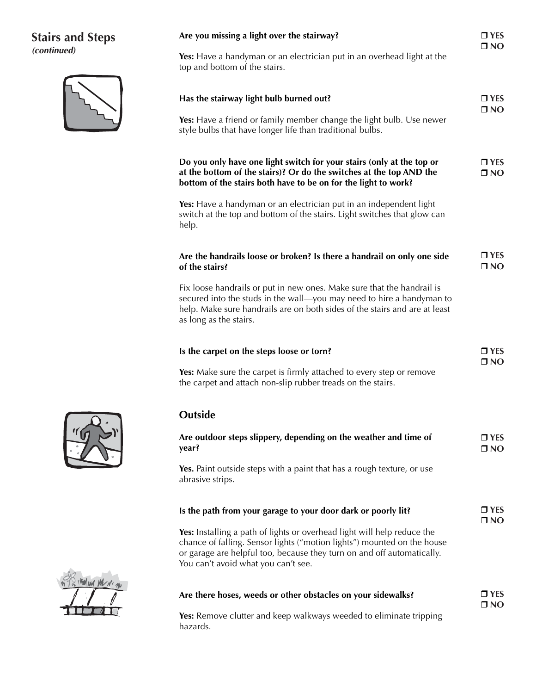## **Stairs and Steps**

**(continued)**



| Are you missing a light over the stairway?                                                                                                                                                                                                                          | $\Box$ YES<br>$\square$ NO         |
|---------------------------------------------------------------------------------------------------------------------------------------------------------------------------------------------------------------------------------------------------------------------|------------------------------------|
| Yes: Have a handyman or an electrician put in an overhead light at the<br>top and bottom of the stairs.                                                                                                                                                             |                                    |
| Has the stairway light bulb burned out?                                                                                                                                                                                                                             | $\Box$ YES<br>$\square$ NO         |
| Yes: Have a friend or family member change the light bulb. Use newer<br>style bulbs that have longer life than traditional bulbs.                                                                                                                                   |                                    |
| Do you only have one light switch for your stairs (only at the top or<br>at the bottom of the stairs)? Or do the switches at the top AND the<br>bottom of the stairs both have to be on for the light to work?                                                      | $\blacksquare$ YES<br>$\square$ NO |
| Yes: Have a handyman or an electrician put in an independent light<br>switch at the top and bottom of the stairs. Light switches that glow can<br>help.                                                                                                             |                                    |
| Are the handrails loose or broken? Is there a handrail on only one side<br>of the stairs?                                                                                                                                                                           | $\blacksquare$ YES<br>$\square$ NO |
| Fix loose handrails or put in new ones. Make sure that the handrail is<br>secured into the studs in the wall—you may need to hire a handyman to<br>help. Make sure handrails are on both sides of the stairs and are at least<br>as long as the stairs.             |                                    |
| Is the carpet on the steps loose or torn?                                                                                                                                                                                                                           | $\sqcap$ YES<br>$\square$ NO       |
| Yes: Make sure the carpet is firmly attached to every step or remove<br>the carpet and attach non-slip rubber treads on the stairs.                                                                                                                                 |                                    |
| Outside                                                                                                                                                                                                                                                             |                                    |
| Are outdoor steps slippery, depending on the weather and time of<br>year?                                                                                                                                                                                           | $\Box$ YES<br>$\square$ NO         |
| Yes. Paint outside steps with a paint that has a rough texture, or use<br>abrasive strips.                                                                                                                                                                          |                                    |
| Is the path from your garage to your door dark or poorly lit?                                                                                                                                                                                                       | $\Box$ YES<br><b>ON D</b>          |
| Yes: Installing a path of lights or overhead light will help reduce the<br>chance of falling. Sensor lights ("motion lights") mounted on the house<br>or garage are helpful too, because they turn on and off automatically.<br>You can't avoid what you can't see. |                                    |
| Are there hoses, weeds or other obstacles on your sidewalks?                                                                                                                                                                                                        | $\square$ YES                      |

**Yes:** Remove clutter and keep walkways weeded to eliminate tripping hazards.

**NO**



| Mw          |   |
|-------------|---|
| $\int$      | A |
| $\bf\Gamma$ | V |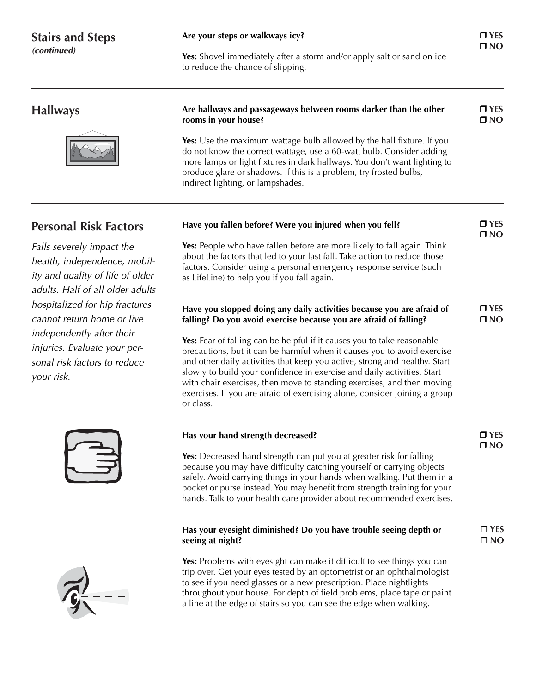## **Stairs and Steps (continued)**

**Yes:** Shovel immediately after a storm and/or apply salt or sand on ice to reduce the chance of slipping.

### **Are hallways and passageways between rooms darker than the other rooms in your house? Yes:** Use the maximum wattage bulb allowed by the hall fixture. If you do not know the correct wattage, use a 60-watt bulb. Consider adding more lamps or light fixtures in dark hallways. You don't want lighting to produce glare or shadows. If this is a problem, try frosted bulbs, indirect lighting, or lampshades. **Have you fallen before? Were you injured when you fell? Yes:** People who have fallen before are more likely to fall again. Think about the factors that led to your last fall. Take action to reduce those factors. Consider using a personal emergency response service (such as LifeLine) to help you if you fall again. **Have you stopped doing any daily activities because you are afraid of falling? Do you avoid exercise because you are afraid of falling? Hallways Personal Risk Factors** Falls severely impact the health, independence, mobility and quality of life of older adults. Half of all older adults hospitalized for hip fractures cannot return home or live independently after their **YES NO YES NO YES NO**

**Yes:** Fear of falling can be helpful if it causes you to take reasonable precautions, but it can be harmful when it causes you to avoid exercise and other daily activities that keep you active, strong and healthy. Start slowly to build your confidence in exercise and daily activities. Start with chair exercises, then move to standing exercises, and then moving exercises. If you are afraid of exercising alone, consider joining a group or class.

| Has your hand strength decreased?                                           | $\Box$ YES   |
|-----------------------------------------------------------------------------|--------------|
|                                                                             | $\square$ NO |
| <b>Yes:</b> Decreased hand strength can put you at greater risk for falling |              |
| because you may have difficulty catching yourself or carrying objects       |              |
| safely. Avoid carrying things in your hands when walking. Put them in a     |              |
| pocket or purse instead. You may benefit from strength training for your    |              |

## **Has your eyesight diminished? Do you have trouble seeing depth or seeing at night?**

hands. Talk to your health care provider about recommended exercises.

**Yes:** Problems with eyesight can make it difficult to see things you can trip over. Get your eyes tested by an optometrist or an ophthalmologist to see if you need glasses or a new prescription. Place nightlights throughout your house. For depth of field problems, place tape or paint a line at the edge of stairs so you can see the edge when walking.

## **YES NO**



injuries. Evaluate your personal risk factors to reduce

your risk.



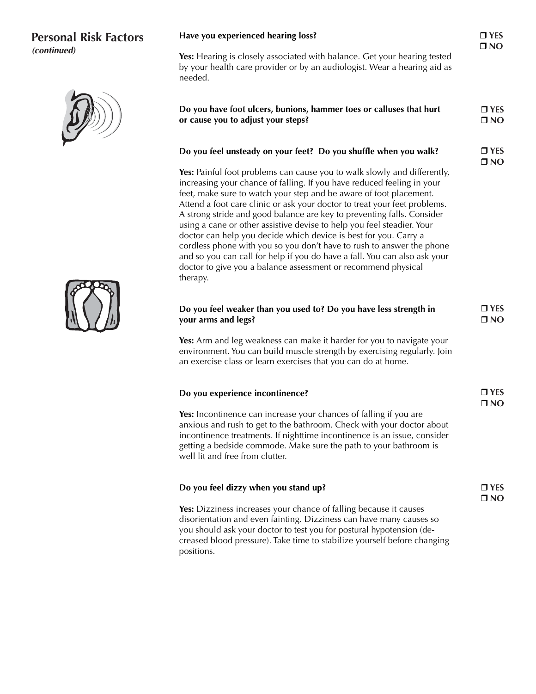## **Personal Risk Factors (continued)**



Yes: Hearing is closely associated with balance. Get your hearing tested by your health care provider or by an audiologist. Wear a hearing aid as needed.

| Do you have foot ulcers, bunions, hammer toes or calluses that hurt<br>or cause you to adjust your steps?                                                                                                                                                                                                                                                                                                                                                                                                                                                                                                                                                                                                                                                        | $\Box$ YES<br>$\square$ NO |
|------------------------------------------------------------------------------------------------------------------------------------------------------------------------------------------------------------------------------------------------------------------------------------------------------------------------------------------------------------------------------------------------------------------------------------------------------------------------------------------------------------------------------------------------------------------------------------------------------------------------------------------------------------------------------------------------------------------------------------------------------------------|----------------------------|
| Do you feel unsteady on your feet? Do you shuffle when you walk?                                                                                                                                                                                                                                                                                                                                                                                                                                                                                                                                                                                                                                                                                                 | $\Box$ YES<br>$\square$ NO |
| Yes: Painful foot problems can cause you to walk slowly and differently,<br>increasing your chance of falling. If you have reduced feeling in your<br>feet, make sure to watch your step and be aware of foot placement.<br>Attend a foot care clinic or ask your doctor to treat your feet problems.<br>A strong stride and good balance are key to preventing falls. Consider<br>using a cane or other assistive devise to help you feel steadier. Your<br>doctor can help you decide which device is best for you. Carry a<br>cordless phone with you so you don't have to rush to answer the phone<br>and so you can call for help if you do have a fall. You can also ask your<br>doctor to give you a balance assessment or recommend physical<br>therapy. |                            |

## **Do you feel weaker than you used to? Do you have less strength in your arms and legs?**

**Yes:** Arm and leg weakness can make it harder for you to navigate your environment. You can build muscle strength by exercising regularly. Join an exercise class or learn exercises that you can do at home.

## **Do you experience incontinence?**

Yes: Incontinence can increase your chances of falling if you are anxious and rush to get to the bathroom. Check with your doctor about incontinence treatments. If nighttime incontinence is an issue, consider getting a bedside commode. Make sure the path to your bathroom is well lit and free from clutter.

## **Do you feel dizzy when you stand up?**

**Yes:** Dizziness increases your chance of falling because it causes disorientation and even fainting. Dizziness can have many causes so you should ask your doctor to test you for postural hypotension (decreased blood pressure). Take time to stabilize yourself before changing positions.

| IT YES |
|--------|
| ∩ NO   |

## **YES NO**

 **YES NO**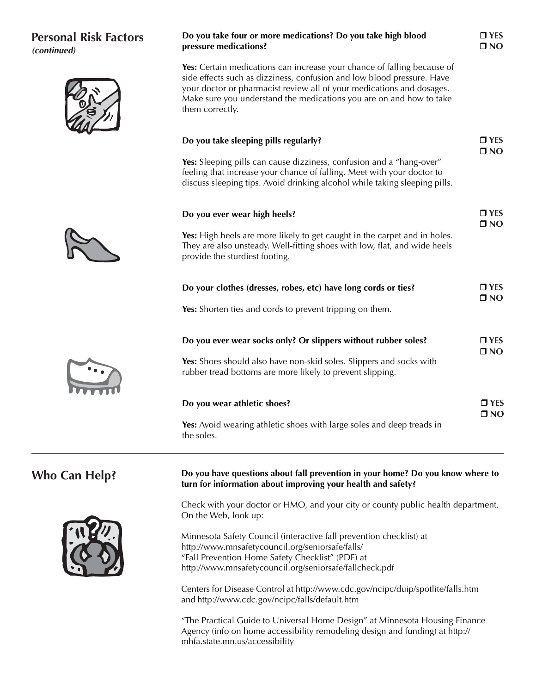## **Personal Risk Factors (continued)**

| (continued)   | pressure medications?                                                                                                                                                                                                                                                                                                                                         |                            |  |  |  |
|---------------|---------------------------------------------------------------------------------------------------------------------------------------------------------------------------------------------------------------------------------------------------------------------------------------------------------------------------------------------------------------|----------------------------|--|--|--|
|               | Yes: Certain medications can increase your chance of falling because of<br>side effects such as dizziness, confusion and low blood pressure. Have<br>your doctor or pharmacist review all of your medications and dosages.<br>Make sure you understand the medications you are on and how to take<br>them correctly.<br>Do you take sleeping pills regularly? |                            |  |  |  |
|               |                                                                                                                                                                                                                                                                                                                                                               |                            |  |  |  |
|               | Yes: Sleeping pills can cause dizziness, confusion and a "hang-over"<br>feeling that increase your chance of falling. Meet with your doctor to<br>discuss sleeping tips. Avoid drinking alcohol while taking sleeping pills.                                                                                                                                  | $\square$ NO               |  |  |  |
|               | Do you ever wear high heels?                                                                                                                                                                                                                                                                                                                                  | $\Box$ YES<br>$\square$ NO |  |  |  |
|               | Yes: High heels are more likely to get caught in the carpet and in holes.<br>They are also unsteady. Well-fitting shoes with low, flat, and wide heels<br>provide the sturdiest footing.                                                                                                                                                                      |                            |  |  |  |
|               | Do your clothes (dresses, robes, etc) have long cords or ties?                                                                                                                                                                                                                                                                                                | $\Box$ YES<br>$\square$ NO |  |  |  |
|               | Yes: Shorten ties and cords to prevent tripping on them.                                                                                                                                                                                                                                                                                                      |                            |  |  |  |
|               | Do you ever wear socks only? Or slippers without rubber soles?                                                                                                                                                                                                                                                                                                | $\Box$ YES<br>$\square$ NO |  |  |  |
|               | Yes: Shoes should also have non-skid soles. Slippers and socks with<br>rubber tread bottoms are more likely to prevent slipping.                                                                                                                                                                                                                              |                            |  |  |  |
|               | Do you wear athletic shoes?                                                                                                                                                                                                                                                                                                                                   |                            |  |  |  |
|               | Yes: Avoid wearing athletic shoes with large soles and deep treads in<br>the soles.                                                                                                                                                                                                                                                                           | $\square$ NO               |  |  |  |
| Who Can Help? | Do you have questions about fall prevention in your home? Do you know where to<br>turn for information about improving your health and safety?                                                                                                                                                                                                                |                            |  |  |  |
|               | Check with your doctor or HMO, and your city or county public health department.<br>On the Web, look up:                                                                                                                                                                                                                                                      |                            |  |  |  |
|               | Minnesota Safety Council (interactive fall prevention checklist) at<br>bttp://www.mpcafatycouncil.org/conjorcafa/falle/                                                                                                                                                                                                                                       |                            |  |  |  |

**Do you take four or more medications? Do you take high blood**

**YES**

http://www.mnsafetycouncil.org/seniorsafe/falls/ "Fall Prevention Home Safety Checklist" (PDF) at http://www.mnsafetycouncil.org/seniorsafe/fallcheck.pdf

Centers for Disease Control at http://www.cdc.gov/ncipc/duip/spotlite/falls.htm and http://www.cdc.gov/ncipc/falls/default.htm

"The Practical Guide to Universal Home Design" at Minnesota Housing Finance Agency (info on home accessibility remodeling design and funding) at http:// mhfa.state.mn.us/accessibility